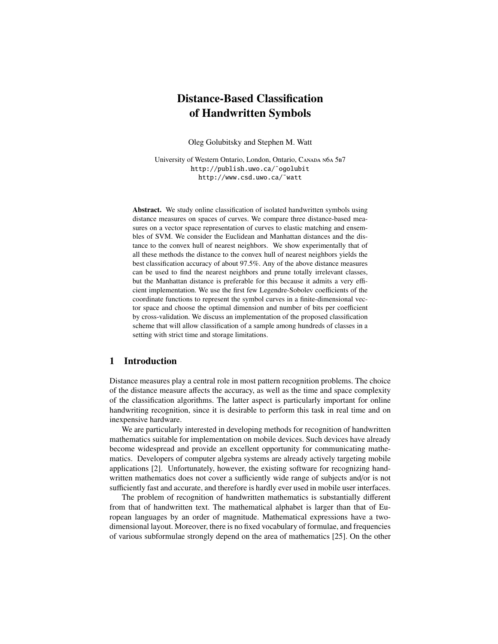# Distance-Based Classification of Handwritten Symbols

Oleg Golubitsky and Stephen M. Watt

University of Western Ontario, London, Ontario, CANADA N6A 5B7 http://publish.uwo.ca/˜ogolubit http://www.csd.uwo.ca/˜watt

Abstract. We study online classification of isolated handwritten symbols using distance measures on spaces of curves. We compare three distance-based measures on a vector space representation of curves to elastic matching and ensembles of SVM. We consider the Euclidean and Manhattan distances and the distance to the convex hull of nearest neighbors. We show experimentally that of all these methods the distance to the convex hull of nearest neighbors yields the best classification accuracy of about 97.5%. Any of the above distance measures can be used to find the nearest neighbors and prune totally irrelevant classes, but the Manhattan distance is preferable for this because it admits a very efficient implementation. We use the first few Legendre-Sobolev coefficients of the coordinate functions to represent the symbol curves in a finite-dimensional vector space and choose the optimal dimension and number of bits per coefficient by cross-validation. We discuss an implementation of the proposed classification scheme that will allow classification of a sample among hundreds of classes in a setting with strict time and storage limitations.

## 1 Introduction

Distance measures play a central role in most pattern recognition problems. The choice of the distance measure affects the accuracy, as well as the time and space complexity of the classification algorithms. The latter aspect is particularly important for online handwriting recognition, since it is desirable to perform this task in real time and on inexpensive hardware.

We are particularly interested in developing methods for recognition of handwritten mathematics suitable for implementation on mobile devices. Such devices have already become widespread and provide an excellent opportunity for communicating mathematics. Developers of computer algebra systems are already actively targeting mobile applications [2]. Unfortunately, however, the existing software for recognizing handwritten mathematics does not cover a sufficiently wide range of subjects and/or is not sufficiently fast and accurate, and therefore is hardly ever used in mobile user interfaces.

The problem of recognition of handwritten mathematics is substantially different from that of handwritten text. The mathematical alphabet is larger than that of European languages by an order of magnitude. Mathematical expressions have a twodimensional layout. Moreover, there is no fixed vocabulary of formulae, and frequencies of various subformulae strongly depend on the area of mathematics [25]. On the other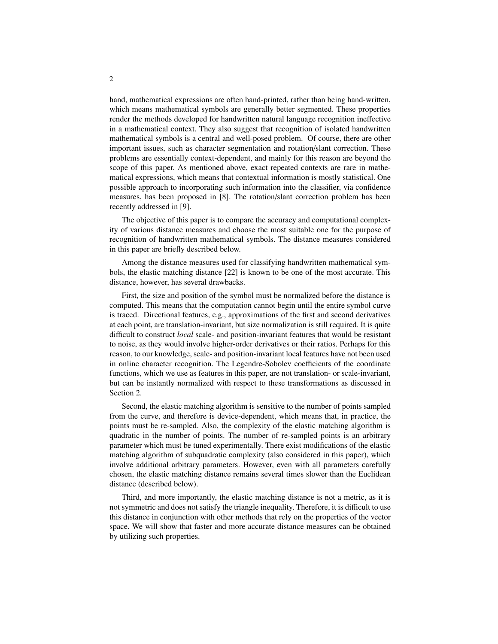hand, mathematical expressions are often hand-printed, rather than being hand-written, which means mathematical symbols are generally better segmented. These properties render the methods developed for handwritten natural language recognition ineffective in a mathematical context. They also suggest that recognition of isolated handwritten mathematical symbols is a central and well-posed problem. Of course, there are other important issues, such as character segmentation and rotation/slant correction. These problems are essentially context-dependent, and mainly for this reason are beyond the scope of this paper. As mentioned above, exact repeated contexts are rare in mathematical expressions, which means that contextual information is mostly statistical. One possible approach to incorporating such information into the classifier, via confidence measures, has been proposed in [8]. The rotation/slant correction problem has been recently addressed in [9].

The objective of this paper is to compare the accuracy and computational complexity of various distance measures and choose the most suitable one for the purpose of recognition of handwritten mathematical symbols. The distance measures considered in this paper are briefly described below.

Among the distance measures used for classifying handwritten mathematical symbols, the elastic matching distance [22] is known to be one of the most accurate. This distance, however, has several drawbacks.

First, the size and position of the symbol must be normalized before the distance is computed. This means that the computation cannot begin until the entire symbol curve is traced. Directional features, e.g., approximations of the first and second derivatives at each point, are translation-invariant, but size normalization is still required. It is quite difficult to construct *local* scale- and position-invariant features that would be resistant to noise, as they would involve higher-order derivatives or their ratios. Perhaps for this reason, to our knowledge, scale- and position-invariant local features have not been used in online character recognition. The Legendre-Sobolev coefficients of the coordinate functions, which we use as features in this paper, are not translation- or scale-invariant, but can be instantly normalized with respect to these transformations as discussed in Section 2.

Second, the elastic matching algorithm is sensitive to the number of points sampled from the curve, and therefore is device-dependent, which means that, in practice, the points must be re-sampled. Also, the complexity of the elastic matching algorithm is quadratic in the number of points. The number of re-sampled points is an arbitrary parameter which must be tuned experimentally. There exist modifications of the elastic matching algorithm of subquadratic complexity (also considered in this paper), which involve additional arbitrary parameters. However, even with all parameters carefully chosen, the elastic matching distance remains several times slower than the Euclidean distance (described below).

Third, and more importantly, the elastic matching distance is not a metric, as it is not symmetric and does not satisfy the triangle inequality. Therefore, it is difficult to use this distance in conjunction with other methods that rely on the properties of the vector space. We will show that faster and more accurate distance measures can be obtained by utilizing such properties.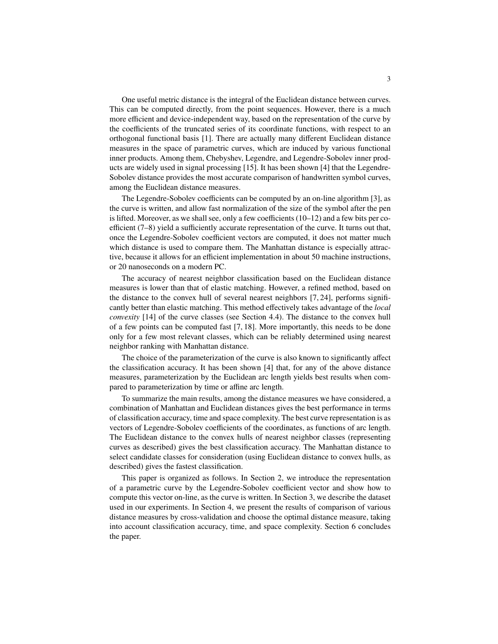One useful metric distance is the integral of the Euclidean distance between curves. This can be computed directly, from the point sequences. However, there is a much more efficient and device-independent way, based on the representation of the curve by the coefficients of the truncated series of its coordinate functions, with respect to an orthogonal functional basis [1]. There are actually many different Euclidean distance measures in the space of parametric curves, which are induced by various functional inner products. Among them, Chebyshev, Legendre, and Legendre-Sobolev inner products are widely used in signal processing [15]. It has been shown [4] that the Legendre-Sobolev distance provides the most accurate comparison of handwritten symbol curves, among the Euclidean distance measures.

The Legendre-Sobolev coefficients can be computed by an on-line algorithm [3], as the curve is written, and allow fast normalization of the size of the symbol after the pen is lifted. Moreover, as we shall see, only a few coefficients (10–12) and a few bits per coefficient (7–8) yield a sufficiently accurate representation of the curve. It turns out that, once the Legendre-Sobolev coefficient vectors are computed, it does not matter much which distance is used to compare them. The Manhattan distance is especially attractive, because it allows for an efficient implementation in about 50 machine instructions, or 20 nanoseconds on a modern PC.

The accuracy of nearest neighbor classification based on the Euclidean distance measures is lower than that of elastic matching. However, a refined method, based on the distance to the convex hull of several nearest neighbors [7, 24], performs significantly better than elastic matching. This method effectively takes advantage of the *local convexity* [14] of the curve classes (see Section 4.4). The distance to the convex hull of a few points can be computed fast [7, 18]. More importantly, this needs to be done only for a few most relevant classes, which can be reliably determined using nearest neighbor ranking with Manhattan distance.

The choice of the parameterization of the curve is also known to significantly affect the classification accuracy. It has been shown [4] that, for any of the above distance measures, parameterization by the Euclidean arc length yields best results when compared to parameterization by time or affine arc length.

To summarize the main results, among the distance measures we have considered, a combination of Manhattan and Euclidean distances gives the best performance in terms of classification accuracy, time and space complexity. The best curve representation is as vectors of Legendre-Sobolev coefficients of the coordinates, as functions of arc length. The Euclidean distance to the convex hulls of nearest neighbor classes (representing curves as described) gives the best classification accuracy. The Manhattan distance to select candidate classes for consideration (using Euclidean distance to convex hulls, as described) gives the fastest classification.

This paper is organized as follows. In Section 2, we introduce the representation of a parametric curve by the Legendre-Sobolev coefficient vector and show how to compute this vector on-line, as the curve is written. In Section 3, we describe the dataset used in our experiments. In Section 4, we present the results of comparison of various distance measures by cross-validation and choose the optimal distance measure, taking into account classification accuracy, time, and space complexity. Section 6 concludes the paper.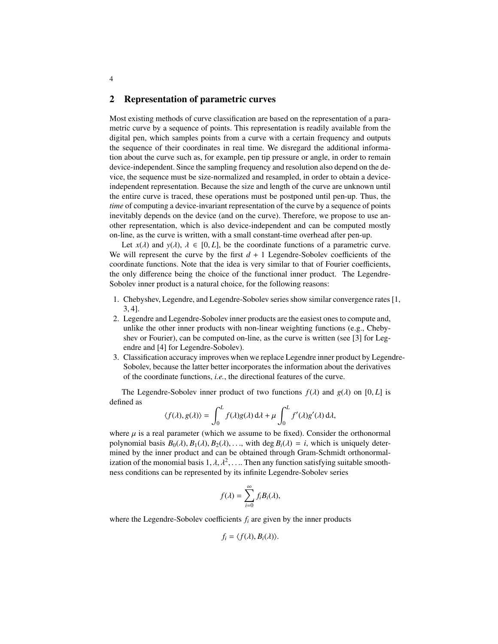#### 2 Representation of parametric curves

Most existing methods of curve classification are based on the representation of a parametric curve by a sequence of points. This representation is readily available from the digital pen, which samples points from a curve with a certain frequency and outputs the sequence of their coordinates in real time. We disregard the additional information about the curve such as, for example, pen tip pressure or angle, in order to remain device-independent. Since the sampling frequency and resolution also depend on the device, the sequence must be size-normalized and resampled, in order to obtain a deviceindependent representation. Because the size and length of the curve are unknown until the entire curve is traced, these operations must be postponed until pen-up. Thus, the *time* of computing a device-invariant representation of the curve by a sequence of points inevitably depends on the device (and on the curve). Therefore, we propose to use another representation, which is also device-independent and can be computed mostly on-line, as the curve is written, with a small constant-time overhead after pen-up.

Let  $x(\lambda)$  and  $y(\lambda)$ ,  $\lambda \in [0, L]$ , be the coordinate functions of a parametric curve. We will represent the curve by the first  $d + 1$  Legendre-Sobolev coefficients of the coordinate functions. Note that the idea is very similar to that of Fourier coefficients, the only difference being the choice of the functional inner product. The Legendre-Sobolev inner product is a natural choice, for the following reasons:

- 1. Chebyshev, Legendre, and Legendre-Sobolev series show similar convergence rates [1, 3, 4].
- 2. Legendre and Legendre-Sobolev inner products are the easiest ones to compute and, unlike the other inner products with non-linear weighting functions (e.g., Chebyshev or Fourier), can be computed on-line, as the curve is written (see [3] for Legendre and [4] for Legendre-Sobolev).
- 3. Classification accuracy improves when we replace Legendre inner product by Legendre-Sobolev, because the latter better incorporates the information about the derivatives of the coordinate functions, *i.e.*, the directional features of the curve.

The Legendre-Sobolev inner product of two functions  $f(\lambda)$  and  $g(\lambda)$  on [0, *L*] is defined as

$$
\langle f(\lambda), g(\lambda) \rangle = \int_0^L f(\lambda)g(\lambda) \, d\lambda + \mu \int_0^L f'(\lambda)g'(\lambda) \, d\lambda,
$$

where  $\mu$  is a real parameter (which we assume to be fixed). Consider the orthonormal polynomial basis  $B_0(\lambda)$ ,  $B_1(\lambda)$ ,  $B_2(\lambda)$ , ..., with deg  $B_i(\lambda) = i$ , which is uniquely determined by the inner product and can be obtained through Gram-Schmidt orthonormalization of the monomial basis  $1, \lambda, \lambda^2, \ldots$  Then any function satisfying suitable smooth-<br>ness conditions can be represented by its infinite Legendre-Soboley series ness conditions can be represented by its infinite Legendre-Sobolev series

$$
f(\lambda) = \sum_{i=0}^{\infty} f_i B_i(\lambda),
$$

where the Legendre-Sobolev coefficients  $f_i$  are given by the inner products

$$
f_i = \langle f(\lambda), B_i(\lambda) \rangle.
$$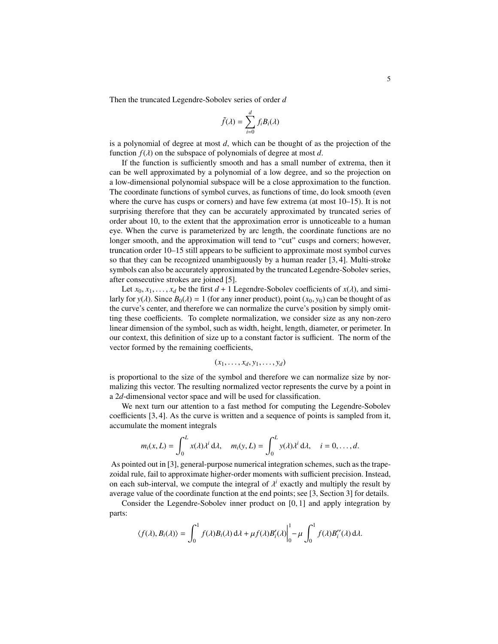Then the truncated Legendre-Sobolev series of order *d*

$$
\tilde{f}(\lambda) = \sum_{i=0}^d f_i B_i(\lambda)
$$

is a polynomial of degree at most *d*, which can be thought of as the projection of the function  $f(\lambda)$  on the subspace of polynomials of degree at most *d*.

If the function is sufficiently smooth and has a small number of extrema, then it can be well approximated by a polynomial of a low degree, and so the projection on a low-dimensional polynomial subspace will be a close approximation to the function. The coordinate functions of symbol curves, as functions of time, do look smooth (even where the curve has cusps or corners) and have few extrema (at most 10–15). It is not surprising therefore that they can be accurately approximated by truncated series of order about 10, to the extent that the approximation error is unnoticeable to a human eye. When the curve is parameterized by arc length, the coordinate functions are no longer smooth, and the approximation will tend to "cut" cusps and corners; however, truncation order 10–15 still appears to be sufficient to approximate most symbol curves so that they can be recognized unambiguously by a human reader [3, 4]. Multi-stroke symbols can also be accurately approximated by the truncated Legendre-Sobolev series, after consecutive strokes are joined [5].

Let  $x_0, x_1, \ldots, x_d$  be the first  $d+1$  Legendre-Sobolev coefficients of  $x(\lambda)$ , and similarly for *y*( $\lambda$ ). Since  $B_0(\lambda) = 1$  (for any inner product), point  $(x_0, y_0)$  can be thought of as the curve's center, and therefore we can normalize the curve's position by simply omitting these coefficients. To complete normalization, we consider size as any non-zero linear dimension of the symbol, such as width, height, length, diameter, or perimeter. In our context, this definition of size up to a constant factor is sufficient. The norm of the vector formed by the remaining coefficients,

$$
(x_1,\ldots,x_d,y_1,\ldots,y_d)
$$

is proportional to the size of the symbol and therefore we can normalize size by normalizing this vector. The resulting normalized vector represents the curve by a point in a 2*d*-dimensional vector space and will be used for classification.

We next turn our attention to a fast method for computing the Legendre-Sobolev coefficients [3, 4]. As the curve is written and a sequence of points is sampled from it, accumulate the moment integrals

$$
m_i(x,L) = \int_0^L x(\lambda) \lambda^i d\lambda, \quad m_i(y,L) = \int_0^L y(\lambda) \lambda^i d\lambda, \quad i=0,\ldots,d.
$$

As pointed out in [3], general-purpose numerical integration schemes, such as the trapezoidal rule, fail to approximate higher-order moments with sufficient precision. Instead, on each sub-interval, we compute the integral of  $\lambda^i$  exactly and multiply the result by average value of the coordinate function at the end points; see [3]. Section 31 for details average value of the coordinate function at the end points; see [3, Section 3] for details.

Consider the Legendre-Sobolev inner product on [0, 1] and apply integration by parts:

$$
\langle f(\lambda), B_i(\lambda) \rangle = \int_0^1 f(\lambda) B_i(\lambda) \, d\lambda + \mu f(\lambda) B_i'(\lambda) \Big|_0^1 - \mu \int_0^1 f(\lambda) B_i''(\lambda) \, d\lambda.
$$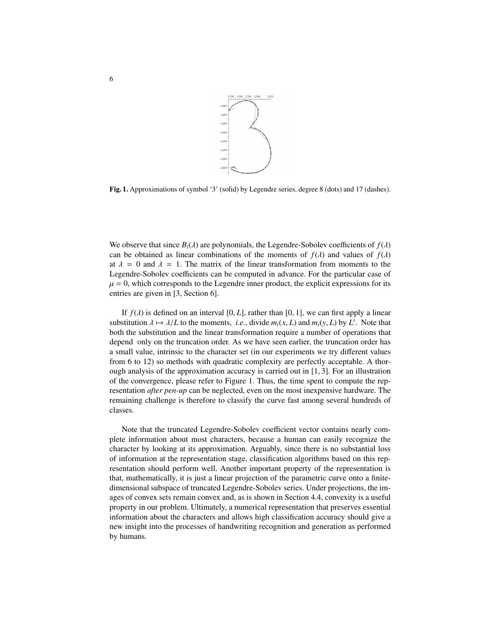

Fig. 1. Approximations of symbol '3' (solid) by Legendre series, degree 8 (dots) and 17 (dashes).

We observe that since  $B_i(\lambda)$  are polynomials, the Legendre-Sobolev coefficients of  $f(\lambda)$ can be obtained as linear combinations of the moments of  $f(\lambda)$  and values of  $f(\lambda)$ at  $\lambda = 0$  and  $\lambda = 1$ . The matrix of the linear transformation from moments to the Legendre-Sobolev coefficients can be computed in advance. For the particular case of  $\mu = 0$ , which corresponds to the Legendre inner product, the explicit expressions for its entries are given in [3, Section 6].

If  $f(\lambda)$  is defined on an interval [0, *L*], rather than [0, 1], we can first apply a linear substitution  $\lambda \mapsto \lambda/L$  to the moments, *i.e.*, divide  $m_i(x, L)$  and  $m_i(y, L)$  by  $L^i$ . Note that both the substitution and the linear transformation require a number of operations that both the substitution and the linear transformation require a number of operations that depend only on the truncation order. As we have seen earlier, the truncation order has a small value, intrinsic to the character set (in our experiments we try different values from 6 to 12) so methods with quadratic complexity are perfectly acceptable. A thorough analysis of the approximation accuracy is carried out in [1, 3]. For an illustration of the convergence, please refer to Figure 1. Thus, the time spent to compute the representation *after pen-up* can be neglected, even on the most inexpensive hardware. The remaining challenge is therefore to classify the curve fast among several hundreds of classes.

Note that the truncated Legendre-Sobolev coefficient vector contains nearly complete information about most characters, because a human can easily recognize the character by looking at its approximation. Arguably, since there is no substantial loss of information at the representation stage, classification algorithms based on this representation should perform well. Another important property of the representation is that, mathematically, it is just a linear projection of the parametric curve onto a finitedimensional subspace of truncated Legendre-Sobolev series. Under projections, the images of convex sets remain convex and, as is shown in Section 4.4, convexity is a useful property in our problem. Ultimately, a numerical representation that preserves essential information about the characters and allows high classification accuracy should give a new insight into the processes of handwriting recognition and generation as performed by humans.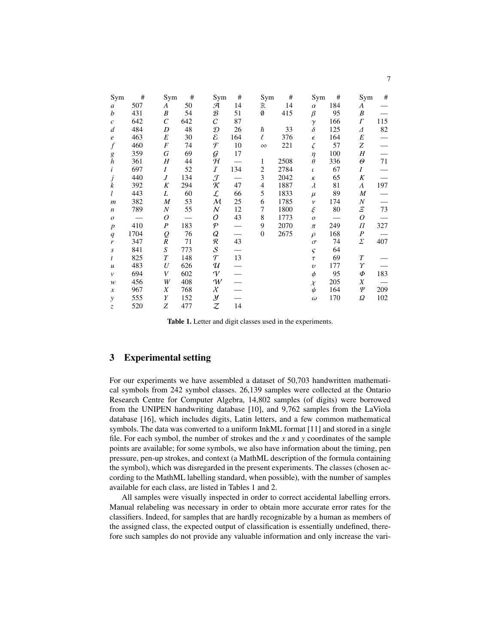| Sym              | #    | Sym                      | #   | Sym                                                                          | #   | Sym            | #    | Sym                | #   | Sym                      | $\#$ |
|------------------|------|--------------------------|-----|------------------------------------------------------------------------------|-----|----------------|------|--------------------|-----|--------------------------|------|
| $\mathfrak a$    | 507  | A                        | 50  | A                                                                            | 14  | $\mathbb R$    | 14   | $\alpha$           | 184 | A                        |      |
| b                | 431  | B                        | 54  | $\mathcal B$                                                                 | 51  | Ø              | 415  | β                  | 95  | B                        |      |
| $\boldsymbol{c}$ | 642  | $\mathcal{C}_{0}^{0}$    | 642 | C                                                                            | 87  |                |      | $\gamma$           | 166 | Γ                        | 115  |
| $\overline{d}$   | 484  | D                        | 48  | D                                                                            | 26  | ħ              | 33   | $\delta$           | 125 | $\varDelta$              | 82   |
| $\boldsymbol{e}$ | 463  | E                        | 30  | $\mathcal{E}% _{M_{1},M_{2}}^{\alpha,\beta}(\varepsilon)$                    | 164 | $\ell$         | 376  | $\epsilon$         | 164 | E                        |      |
| $\boldsymbol{f}$ | 460  | F                        | 74  | F                                                                            | 10  | $\infty$       | 221  | $\zeta$            | 57  | Ζ                        |      |
| $\boldsymbol{g}$ | 359  | G                        | 69  | $\cal G$                                                                     | 17  |                |      | $\eta$             | 100 | $H_{\rm}$                |      |
| h                | 361  | Η                        | 44  | H                                                                            |     | 1              | 2508 | $\theta$           | 336 | $\boldsymbol{\varTheta}$ | 71   |
| i                | 697  | $\overline{I}$           | 52  | $\mathcal{I}$                                                                | 134 | $\overline{c}$ | 2784 | ı                  | 67  | I                        |      |
| $\dot{J}$        | 440  | J                        | 134 | $\mathcal{J}% _{0}=\mathcal{J}_{\mathrm{CL}}\times\mathcal{J}_{\mathrm{CL}}$ |     | 3              | 2042 | К                  | 65  | K                        |      |
| $\boldsymbol{k}$ | 392  | K                        | 294 | К                                                                            | 47  | $\overline{4}$ | 1887 | $\lambda$          | 81  | $\Lambda$                | 197  |
| l                | 443  | L                        | 60  | $\mathcal{L}% _{G}=\mathcal{L}_{G}$                                          | 66  | 5              | 1833 | $\mu$              | 89  | M                        |      |
| $\boldsymbol{m}$ | 382  | M                        | 53  | ${\cal M}$                                                                   | 25  | 6              | 1785 | $\boldsymbol{\nu}$ | 174 | $\boldsymbol{N}$         |      |
| $\boldsymbol{n}$ | 789  | N                        | 55  | N                                                                            | 12  | 7              | 1800 | ξ                  | 80  | Ξ                        | 73   |
| $\boldsymbol{o}$ |      | O                        |     | 0                                                                            | 43  | 8              | 1773 | $\boldsymbol{o}$   |     | 0                        |      |
| $\boldsymbol{p}$ | 410  | $\boldsymbol{P}$         | 183 | $\boldsymbol{\mathcal{P}}$                                                   |     | 9              | 2070 | $\pi$              | 249 | П                        | 327  |
| q                | 1704 | $\overline{\mathcal{Q}}$ | 76  | Q                                                                            |     | $\overline{0}$ | 2675 | $\rho$             | 168 | $\boldsymbol{P}$         |      |
| r                | 347  | R                        | 71  | R                                                                            | 43  |                |      | $\sigma$           | 74  | Σ                        | 407  |
| $\boldsymbol{S}$ | 841  | $\boldsymbol{S}$         | 773 | $\mathcal{S}_{0}$                                                            |     |                |      | $\varsigma$        | 64  |                          |      |
| $\boldsymbol{t}$ | 825  | $\overline{T}$           | 148 | $\mathcal T$                                                                 | 13  |                |      | $\tau$             | 69  | $\overline{T}$           |      |
| $\boldsymbol{u}$ | 483  | U                        | 626 | U                                                                            |     |                |      | $\upsilon$         | 177 | $\gamma$                 |      |
| $\mathcal{V}$    | 694  | V                        | 602 | $\gamma$                                                                     |     |                |      | $\phi$             | 95  | Ф                        | 183  |
| $\boldsymbol{w}$ | 456  | W                        | 408 | W                                                                            |     |                |      | $\chi$             | 205 | X                        |      |
| $\boldsymbol{x}$ | 967  | X                        | 768 | $\chi$                                                                       |     |                |      | $\psi$             | 164 | Ψ                        | 209  |
| y                | 555  | Y                        | 152 | y                                                                            |     |                |      | $\omega$           | 170 | Ω                        | 102  |
| $\overline{z}$   | 520  | Z                        | 477 | Z                                                                            | 14  |                |      |                    |     |                          |      |

Table 1. Letter and digit classes used in the experiments.

# 3 Experimental setting

For our experiments we have assembled a dataset of 50,703 handwritten mathematical symbols from 242 symbol classes. 26,139 samples were collected at the Ontario Research Centre for Computer Algebra, 14,802 samples (of digits) were borrowed from the UNIPEN handwriting database [10], and 9,762 samples from the LaViola database [16], which includes digits, Latin letters, and a few common mathematical symbols. The data was converted to a uniform InkML format [11] and stored in a single file. For each symbol, the number of strokes and the *x* and *y* coordinates of the sample points are available; for some symbols, we also have information about the timing, pen pressure, pen-up strokes, and context (a MathML description of the formula containing the symbol), which was disregarded in the present experiments. The classes (chosen according to the MathML labelling standard, when possible), with the number of samples available for each class, are listed in Tables 1 and 2.

All samples were visually inspected in order to correct accidental labelling errors. Manual relabeling was necessary in order to obtain more accurate error rates for the classifiers. Indeed, for samples that are hardly recognizable by a human as members of the assigned class, the expected output of classification is essentially undefined, therefore such samples do not provide any valuable information and only increase the vari-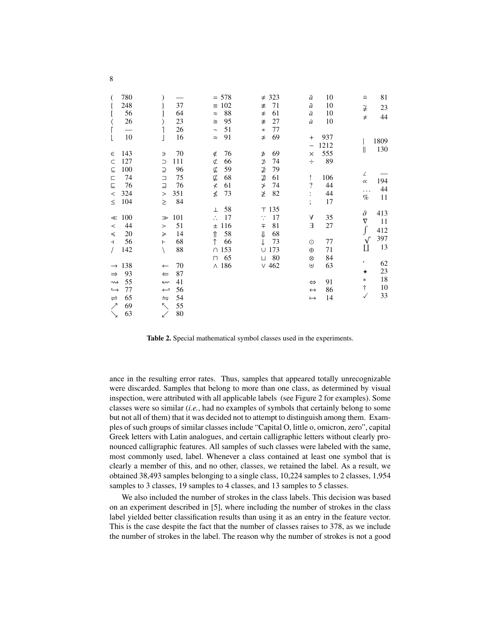| 780<br>€<br>248<br>56<br>l<br>26                                                                                                                           | 37<br>64<br>23<br>26                                                                                                                                                                                                                                                                                                                                                                                                                                                                                                                                                                                                   | $= 578$<br>$\equiv 102$<br>88<br>$\approx$<br>95<br>$\cong$<br>51<br>$\sim$                   | $\neq$ 323<br>71<br>≢<br>61<br>$\ast$<br>27<br>≇<br>77<br>$\overset{\rightharpoonup}{\sim}$ | 10<br>ā<br>ã<br>10<br>10<br>ä<br>10<br>à                                                    | 81<br>≐<br>$\widetilde{\neq}$<br>23<br>44<br>$\star$                      |
|------------------------------------------------------------------------------------------------------------------------------------------------------------|------------------------------------------------------------------------------------------------------------------------------------------------------------------------------------------------------------------------------------------------------------------------------------------------------------------------------------------------------------------------------------------------------------------------------------------------------------------------------------------------------------------------------------------------------------------------------------------------------------------------|-----------------------------------------------------------------------------------------------|---------------------------------------------------------------------------------------------|---------------------------------------------------------------------------------------------|---------------------------------------------------------------------------|
| 10<br>143<br>$\in$<br>127<br>$\subset$<br>100                                                                                                              | 16<br>70<br>$\Rightarrow$<br>111<br>$\supset$<br>96<br>$\supseteq$                                                                                                                                                                                                                                                                                                                                                                                                                                                                                                                                                     | 91<br>$\simeq$<br>76<br>∉<br>66<br>$\not\subset$<br>59                                        | 69<br>$\neq$<br>69<br>∌<br>74<br>⊅<br>⊉<br>79                                               | 937<br>$^{+}$<br>1212<br>$\overline{\phantom{0}}$<br>555<br>$\times$<br>89<br>÷             | 1809<br>130<br>Ш                                                          |
| $\subseteq$<br>74<br>с<br>76<br>⊑<br>324<br>$\lt$<br>104<br>$\leq$                                                                                         | 75<br>$\Box$<br>76<br>$\Box$<br>351<br>$\geq$<br>84<br>$\geq$                                                                                                                                                                                                                                                                                                                                                                                                                                                                                                                                                          | ⊈<br>⋢<br>68<br>61<br>≮<br>73<br>≰                                                            | ⊉<br>61<br>≯<br>74<br>≱<br>82                                                               | 106<br>Ţ<br>$\overline{\mathcal{L}}$<br>44<br>44<br>17                                      | L<br>194<br>$\propto$<br>44<br>$\ddotsc$<br>$\%$<br>11                    |
| $\ll 100$<br>44<br>$\prec$<br>20<br>$\preccurlyeq$<br>56<br>$\overline{+}$<br>142<br>$\prime$                                                              | 101<br>$\gg$<br>51<br>$\left. \right. \right. \left. \right. \left. \right. \left. \right. \left. \right. \left. \right. \left. \right. \left. \left. \right. \right. \left. \left. \right. \left. \right. \left. \left. \right. \right. \left. \left. \right. \left. \left. \right. \right. \left. \left. \right. \right. \left. \left. \right. \left. \left. \right. \right. \left. \left. \right. \right. \left. \left. \right. \right. \left. \left. \right. \left. \left. \right. \right. \left. \left. \right. \right. \left. \left. \right. \right. \left. \left. \right. \left. \$<br>14<br>≽<br>68<br>H<br>88 | 58<br>工<br>17<br>$\mathcal{L}_{\bullet}$<br>±116<br>58<br>⇑<br>$\uparrow$<br>66<br>$\cap$ 153 | T135<br>17<br>∵<br>81<br>Ŧ<br>JL<br>68<br>73<br>T<br>173<br>U                               | 35<br>A<br>Е<br>27<br>77<br>$\odot$<br>71<br>$\oplus$                                       | $\partial$<br>413<br>$\nabla$<br>11<br>412<br>397<br>$\sqrt{}$<br>13<br>П |
| 138<br>$\rightarrow$<br>93<br>$\Rightarrow$<br>55<br>$\rightsquigarrow$<br>77<br>$\hookrightarrow$<br>65<br>$\rightleftharpoons$<br>69<br>$\nearrow$<br>63 | 70<br>$\leftarrow$<br>87<br>$\Leftarrow$<br>41<br>$\overline{\mathsf{f}}$<br>56<br>$\hookrightarrow$<br>54<br>$\leftrightharpoons$<br>55<br>$\mathcal{L}$<br>80<br>✓                                                                                                                                                                                                                                                                                                                                                                                                                                                   | 65<br>П<br>$\wedge$ 186                                                                       | 80<br>П<br>$\vee$ 462                                                                       | 84<br>⊗<br>63<br>⊎<br>91<br>$\Leftrightarrow$<br>86<br>$\leftrightarrow$<br>14<br>$\mapsto$ | $\prime$<br>62<br>23<br>★<br>18<br>$\ast$<br>Ť<br>10<br>33<br>✓           |

Table 2. Special mathematical symbol classes used in the experiments.

ance in the resulting error rates. Thus, samples that appeared totally unrecognizable were discarded. Samples that belong to more than one class, as determined by visual inspection, were attributed with all applicable labels (see Figure 2 for examples). Some classes were so similar (*i.e.*, had no examples of symbols that certainly belong to some but not all of them) that it was decided not to attempt to distinguish among them. Examples of such groups of similar classes include "Capital O, little o, omicron, zero", capital Greek letters with Latin analogues, and certain calligraphic letters without clearly pronounced calligraphic features. All samples of such classes were labeled with the same, most commonly used, label. Whenever a class contained at least one symbol that is clearly a member of this, and no other, classes, we retained the label. As a result, we obtained 38,493 samples belonging to a single class, 10,224 samples to 2 classes, 1,954 samples to 3 classes, 19 samples to 4 classes, and 13 samples to 5 classes.

We also included the number of strokes in the class labels. This decision was based on an experiment described in [5], where including the number of strokes in the class label yielded better classification results than using it as an entry in the feature vector. This is the case despite the fact that the number of classes raises to 378, as we include the number of strokes in the label. The reason why the number of strokes is not a good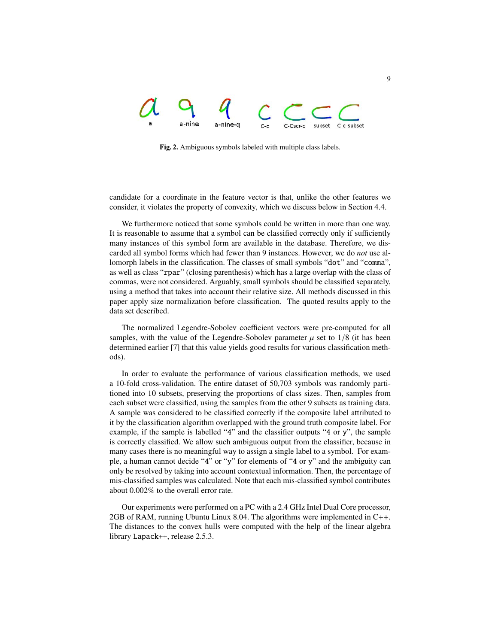

Fig. 2. Ambiguous symbols labeled with multiple class labels.

candidate for a coordinate in the feature vector is that, unlike the other features we consider, it violates the property of convexity, which we discuss below in Section 4.4.

We furthermore noticed that some symbols could be written in more than one way. It is reasonable to assume that a symbol can be classified correctly only if sufficiently many instances of this symbol form are available in the database. Therefore, we discarded all symbol forms which had fewer than 9 instances. However, we do *not* use allomorph labels in the classification. The classes of small symbols "dot" and "comma", as well as class "rpar" (closing parenthesis) which has a large overlap with the class of commas, were not considered. Arguably, small symbols should be classified separately, using a method that takes into account their relative size. All methods discussed in this paper apply size normalization before classification. The quoted results apply to the data set described.

The normalized Legendre-Sobolev coefficient vectors were pre-computed for all samples, with the value of the Legendre-Sobolev parameter  $\mu$  set to 1/8 (it has been determined earlier [7] that this value yields good results for various classification methods).

In order to evaluate the performance of various classification methods, we used a 10-fold cross-validation. The entire dataset of 50,703 symbols was randomly partitioned into 10 subsets, preserving the proportions of class sizes. Then, samples from each subset were classified, using the samples from the other 9 subsets as training data. A sample was considered to be classified correctly if the composite label attributed to it by the classification algorithm overlapped with the ground truth composite label. For example, if the sample is labelled "4" and the classifier outputs "4 or y", the sample is correctly classified. We allow such ambiguous output from the classifier, because in many cases there is no meaningful way to assign a single label to a symbol. For example, a human cannot decide "4" or "y" for elements of "4 or y" and the ambiguity can only be resolved by taking into account contextual information. Then, the percentage of mis-classified samples was calculated. Note that each mis-classified symbol contributes about 0.002% to the overall error rate.

Our experiments were performed on a PC with a 2.4 GHz Intel Dual Core processor, 2GB of RAM, running Ubuntu Linux 8.04. The algorithms were implemented in C++. The distances to the convex hulls were computed with the help of the linear algebra library Lapack++, release 2.5.3.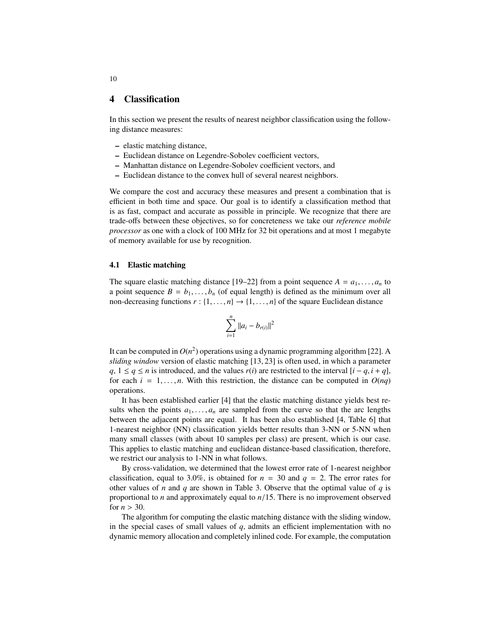# 4 Classification

In this section we present the results of nearest neighbor classification using the following distance measures:

- elastic matching distance,
- Euclidean distance on Legendre-Sobolev coefficient vectors,
- Manhattan distance on Legendre-Sobolev coefficient vectors, and
- Euclidean distance to the convex hull of several nearest neighbors.

We compare the cost and accuracy these measures and present a combination that is efficient in both time and space. Our goal is to identify a classification method that is as fast, compact and accurate as possible in principle. We recognize that there are trade-offs between these objectives, so for concreteness we take our *reference mobile processor* as one with a clock of 100 MHz for 32 bit operations and at most 1 megabyte of memory available for use by recognition.

#### 4.1 Elastic matching

The square elastic matching distance [19–22] from a point sequence  $A = a_1, \ldots, a_n$  to a point sequence  $B = b_1, \ldots, b_n$  (of equal length) is defined as the minimum over all non-decreasing functions  $r : \{1, \ldots, n\} \rightarrow \{1, \ldots, n\}$  of the square Euclidean distance

$$
\sum_{i=1}^{n} ||a_i - b_{r(i)}||^2
$$

It can be computed in  $O(n^2)$  operations using a dynamic programming algorithm [22]. A *sliding window* version of elastic matching [13, 23] is often used, in which a parameter *q*, 1 ≤ *q* ≤ *n* is introduced, and the values *r*(*i*) are restricted to the interval  $[i - q, i + q]$ , for each  $i = 1, \ldots, n$ . With this restriction, the distance can be computed in  $O(nq)$ operations.

It has been established earlier [4] that the elastic matching distance yields best results when the points  $a_1, \ldots, a_n$  are sampled from the curve so that the arc lengths between the adjacent points are equal. It has been also established [4, Table 6] that 1-nearest neighbor (NN) classification yields better results than 3-NN or 5-NN when many small classes (with about 10 samples per class) are present, which is our case. This applies to elastic matching and euclidean distance-based classification, therefore, we restrict our analysis to 1-NN in what follows.

By cross-validation, we determined that the lowest error rate of 1-nearest neighbor classification, equal to 3.0%, is obtained for  $n = 30$  and  $q = 2$ . The error rates for other values of *n* and *q* are shown in Table 3. Observe that the optimal value of *q* is proportional to *<sup>n</sup>* and approximately equal to *<sup>n</sup>*/15. There is no improvement observed for  $n > 30$ .

The algorithm for computing the elastic matching distance with the sliding window, in the special cases of small values of *q*, admits an efficient implementation with no dynamic memory allocation and completely inlined code. For example, the computation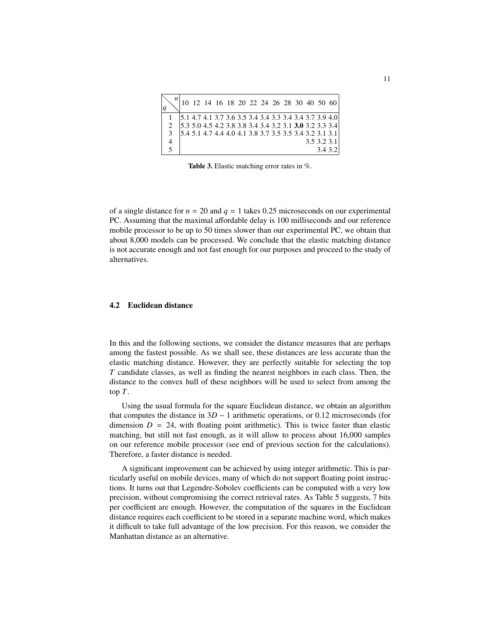|                             |  | 10 12 14 16 18 20 22 24 26 28 30 40 50 60                |  |  |  |  |             |  |
|-----------------------------|--|----------------------------------------------------------|--|--|--|--|-------------|--|
|                             |  | [5.1 4.7 4.1 3.7 3.6 3.5 3.4 3.4 3.3 3.4 3.4 3.7 3.9 4.0 |  |  |  |  |             |  |
| $\mathcal{D}_{\mathcal{L}}$ |  | 5.3 5.0 4.5 4.2 3.8 3.8 3.4 3.4 3.2 3.1 3.0 3.2 3.3 3.4  |  |  |  |  |             |  |
| 3                           |  | 5.4 5.1 4.7 4.4 4.0 4.1 3.8 3.7 3.5 3.5 3.4 3.2 3.1 3.1  |  |  |  |  |             |  |
|                             |  |                                                          |  |  |  |  | 3.5 3.2 3.1 |  |
|                             |  |                                                          |  |  |  |  | 3.4 3.2     |  |

Table 3. Elastic matching error rates in %.

of a single distance for  $n = 20$  and  $q = 1$  takes 0.25 microseconds on our experimental PC. Assuming that the maximal affordable delay is 100 milliseconds and our reference mobile processor to be up to 50 times slower than our experimental PC, we obtain that about 8,000 models can be processed. We conclude that the elastic matching distance is not accurate enough and not fast enough for our purposes and proceed to the study of alternatives.

#### 4.2 Euclidean distance

In this and the following sections, we consider the distance measures that are perhaps among the fastest possible. As we shall see, these distances are less accurate than the elastic matching distance. However, they are perfectly suitable for selecting the top *T* candidate classes, as well as finding the nearest neighbors in each class. Then, the distance to the convex hull of these neighbors will be used to select from among the top *T*.

Using the usual formula for the square Euclidean distance, we obtain an algorithm that computes the distance in 3*<sup>D</sup>* <sup>−</sup> 1 arithmetic operations, or 0.12 microseconds (for dimension  $D = 24$ , with floating point arithmetic). This is twice faster than elastic matching, but still not fast enough, as it will allow to process about 16,000 samples on our reference mobile processor (see end of previous section for the calculations). Therefore, a faster distance is needed.

A significant improvement can be achieved by using integer arithmetic. This is particularly useful on mobile devices, many of which do not support floating point instructions. It turns out that Legendre-Sobolev coefficients can be computed with a very low precision, without compromising the correct retrieval rates. As Table 5 suggests, 7 bits per coefficient are enough. However, the computation of the squares in the Euclidean distance requires each coefficient to be stored in a separate machine word, which makes it difficult to take full advantage of the low precision. For this reason, we consider the Manhattan distance as an alternative.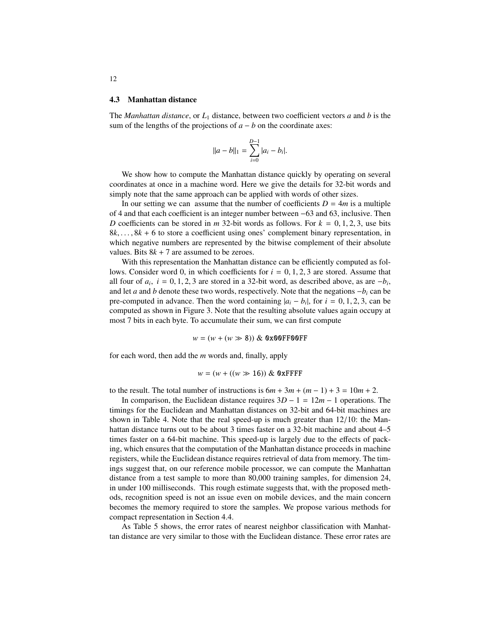#### 4.3 Manhattan distance

The *Manhattan distance*, or *L*<sup>1</sup> distance, between two coefficient vectors *a* and *b* is the sum of the lengths of the projections of  $a - b$  on the coordinate axes:

$$
||a - b||_1 = \sum_{i=0}^{D-1} |a_i - b_i|.
$$

We show how to compute the Manhattan distance quickly by operating on several coordinates at once in a machine word. Here we give the details for 32-bit words and simply note that the same approach can be applied with words of other sizes.

In our setting we can assume that the number of coefficients  $D = 4m$  is a multiple of 4 and that each coefficient is an integer number between −63 and 63, inclusive. Then *D* coefficients can be stored in *m* 32-bit words as follows. For  $k = 0, 1, 2, 3$ , use bits  $8k, \ldots, 8k + 6$  to store a coefficient using ones' complement binary representation, in which negative numbers are represented by the bitwise complement of their absolute values. Bits  $8k + 7$  are assumed to be zeroes.

With this representation the Manhattan distance can be efficiently computed as follows. Consider word 0, in which coefficients for  $i = 0, 1, 2, 3$  are stored. Assume that all four of  $a_i$ ,  $i = 0, 1, 2, 3$  are stored in a 32-bit word, as described above, as are  $-b_i$ , and let  $a$  and  $b$  denote these two words, respectively. Note that the negations  $-b_i$  can be and let *a* and *b* denote these two words, respectively. Note that the negations −*b<sup>i</sup>* can be pre-computed in advance. Then the word containing  $|a_i - b_i|$ , for  $i = 0, 1, 2, 3$ , can be computed as shown in Figure 3. Note that the resulting absolute values again occupy at computed as shown in Figure 3. Note that the resulting absolute values again occupy at most 7 bits in each byte. To accumulate their sum, we can first compute

 $w = (w + (w \gg 8))$  & 0x00FF00FF

for each word, then add the *m* words and, finally, apply

 $w = (w + ((w \gg 16)) \& 0$ xFFFF

to the result. The total number of instructions is  $6m + 3m + (m - 1) + 3 = 10m + 2$ .

In comparison, the Euclidean distance requires 3*D* − 1 = 12*m* − 1 operations. The timings for the Euclidean and Manhattan distances on 32-bit and 64-bit machines are shown in Table 4. Note that the real speed-up is much greater than 12/10: the Manhattan distance turns out to be about 3 times faster on a 32-bit machine and about 4–5 times faster on a 64-bit machine. This speed-up is largely due to the effects of packing, which ensures that the computation of the Manhattan distance proceeds in machine registers, while the Euclidean distance requires retrieval of data from memory. The timings suggest that, on our reference mobile processor, we can compute the Manhattan distance from a test sample to more than 80,000 training samples, for dimension 24, in under 100 milliseconds. This rough estimate suggests that, with the proposed methods, recognition speed is not an issue even on mobile devices, and the main concern becomes the memory required to store the samples. We propose various methods for compact representation in Section 4.4.

As Table 5 shows, the error rates of nearest neighbor classification with Manhattan distance are very similar to those with the Euclidean distance. These error rates are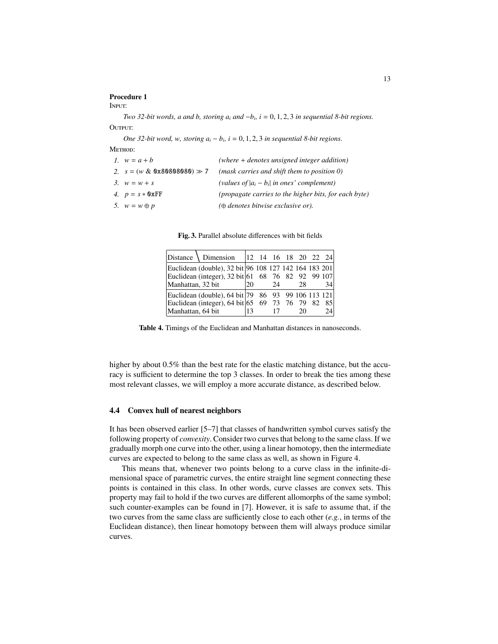#### Procedure 1

INPUT:

*Two 32-bit words, a and b, storing*  $a_i$  *and*  $-b_i$ *,*  $i = 0, 1, 2, 3$  *<i>in sequential 8-bit regions.* OUTPUT:

*One* 32-bit word, w, storing  $a_i - b_i$ ,  $i = 0, 1, 2, 3$  in sequential 8-bit regions. METHOD:

| 1. $w = a + b$                   | $(where + denotes unsigned integer addition)$         |
|----------------------------------|-------------------------------------------------------|
| 2. $s = (w \& 0x80808080) \gg 7$ | $(mask carries and shift them to position 0)$         |
| 3. $w = w + s$                   | (values of $ a_i - b_i $ in ones' complement)         |
| 4. $p = s * 0xFF$                | (propagate carries to the higher bits, for each byte) |
| 5. $w = w \oplus p$              | $(\oplus$ denotes bitwise exclusive or).              |

Fig. 3. Parallel absolute differences with bit fields

| Dimension<br>Distance                                 |    |    | $\begin{vmatrix} 12 & 14 & 16 & 18 & 20 & 22 & 24 \end{vmatrix}$ |    |     |     |
|-------------------------------------------------------|----|----|------------------------------------------------------------------|----|-----|-----|
| Euclidean (double), 32 bit 96 108 127 142 164 183 201 |    |    |                                                                  |    |     |     |
| Euclidean (integer), 32 bit 61 68 76 82 92 99 107     |    |    |                                                                  |    |     |     |
| Manhattan, 32 bit                                     | 20 | 24 |                                                                  | 28 |     | 34  |
| Euclidean (double), 64 bit 79 86 93 99 106 113 121    |    |    |                                                                  |    |     |     |
| Euclidean (integer), 64 bit 65 69 73 76 79            |    |    |                                                                  |    | 82. | 851 |
| Manhattan, 64 bit                                     | 13 |    |                                                                  | 20 |     |     |

Table 4. Timings of the Euclidean and Manhattan distances in nanoseconds.

higher by about  $0.5\%$  than the best rate for the elastic matching distance, but the accuracy is sufficient to determine the top 3 classes. In order to break the ties among these most relevant classes, we will employ a more accurate distance, as described below.

#### 4.4 Convex hull of nearest neighbors

It has been observed earlier [5–7] that classes of handwritten symbol curves satisfy the following property of *convexity*. Consider two curves that belong to the same class. If we gradually morph one curve into the other, using a linear homotopy, then the intermediate curves are expected to belong to the same class as well, as shown in Figure 4.

This means that, whenever two points belong to a curve class in the infinite-dimensional space of parametric curves, the entire straight line segment connecting these points is contained in this class. In other words, curve classes are convex sets. This property may fail to hold if the two curves are different allomorphs of the same symbol; such counter-examples can be found in [7]. However, it is safe to assume that, if the two curves from the same class are sufficiently close to each other (*e.g.*, in terms of the Euclidean distance), then linear homotopy between them will always produce similar curves.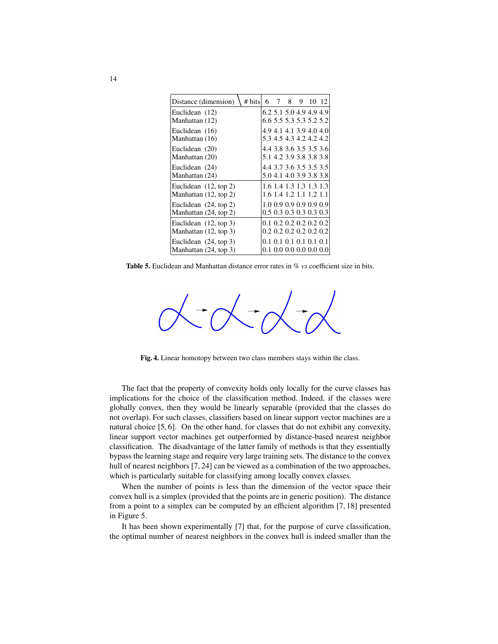| Distance (dimension)  | # bits |  | 6 7 8                          | 9 | 10 12 |  |
|-----------------------|--------|--|--------------------------------|---|-------|--|
| Euclidean (12)        |        |  | 6.2 5.1 5.0 4.9 4.9 4.9        |   |       |  |
| Manhattan (12)        |        |  | 6.6 5.5 5.3 5.3 5.2 5.2        |   |       |  |
| Euclidean (16)        |        |  | 4.9 4.1 4.1 3.9 4.0 4.0        |   |       |  |
| Manhattan (16)        |        |  | 5.3 4.5 4.3 4.2 4.2 4.2        |   |       |  |
| Euclidean (20)        |        |  | 4.4 3.8 3.6 3.5 3.5 3.6        |   |       |  |
| Manhattan (20)        |        |  | 5.1 4.2 3.9 3.8 3.8 3.8        |   |       |  |
| Euclidean (24)        |        |  | 4.4 3.7 3.6 3.5 3.5 3.5        |   |       |  |
| Manhattan (24)        |        |  | 5.0 4.1 4.0 3.9 3.8 3.8        |   |       |  |
| Euclidean (12, top 2) |        |  | 1.6 1.4 1.3 1.3 1.3 1.3        |   |       |  |
| Manhattan (12, top 2) |        |  | 1.6 1.4 1.2 1.1 1.2 1.1        |   |       |  |
| Euclidean (24, top 2) |        |  | 1.0 0.9 0.9 0.9 0.9 0.9        |   |       |  |
| Manhattan (24, top 2) |        |  | 0.5 0.3 0.3 0.3 0.3 0.3        |   |       |  |
| Euclidean (12, top 3) |        |  | $0.1\ 0.2\ 0.2\ 0.2\ 0.2\ 0.2$ |   |       |  |
| Manhattan (12, top 3) |        |  | $0.2$ 0.2 0.2 0.2 0.2 0.2      |   |       |  |
| Euclidean (24, top 3) |        |  | 0.1 0.1 0.1 0.1 0.1 0.1        |   |       |  |
| Manhattan (24, top 3) |        |  | $0.1\ 0.0\ 0.0\ 0.0\ 0.0\ 0.0$ |   |       |  |

Table 5. Euclidean and Manhattan distance error rates in % *vs* coefficient size in bits.



Fig. 4. Linear homotopy between two class members stays within the class.

The fact that the property of convexity holds only locally for the curve classes has implications for the choice of the classification method. Indeed, if the classes were globally convex, then they would be linearly separable (provided that the classes do not overlap). For such classes, classifiers based on linear support vector machines are a natural choice [5, 6]. On the other hand, for classes that do not exhibit any convexity, linear support vector machines get outperformed by distance-based nearest neighbor classification. The disadvantage of the latter family of methods is that they essentially bypass the learning stage and require very large training sets. The distance to the convex hull of nearest neighbors [7, 24] can be viewed as a combination of the two approaches, which is particularly suitable for classifying among locally convex classes.

When the number of points is less than the dimension of the vector space their convex hull is a simplex (provided that the points are in generic position). The distance from a point to a simplex can be computed by an efficient algorithm [7, 18] presented in Figure 5.

It has been shown experimentally [7] that, for the purpose of curve classification, the optimal number of nearest neighbors in the convex hull is indeed smaller than the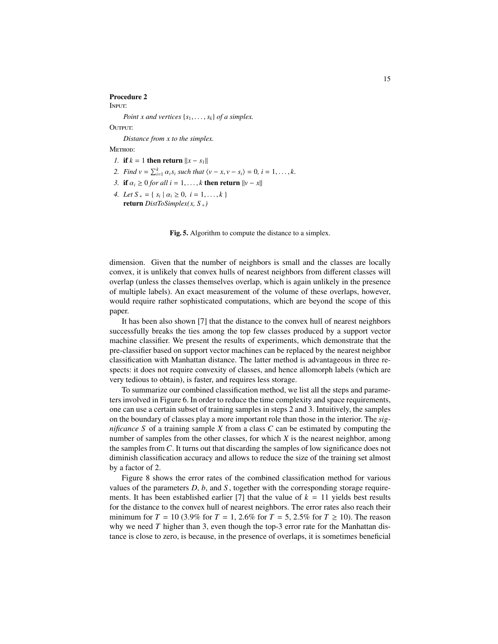# Procedure 2

INPUT:

*Point x and vertices*  $\{s_1, \ldots, s_k\}$  *of a simplex.* 

OUTPUT:

*Distance from x to the simplex.*

METHOD:

- *1.* if  $k = 1$  then return  $||x s_1||$
- *2. Find*  $v = \sum_{i=1}^{k} \alpha_i s_i$  *such that*  $\langle v x, v s_i \rangle = 0, i = 1, ..., k$ .
- *3.* if  $\alpha_i \geq 0$  *for all i* = 1, ..., *k* then return  $||v x||$
- *4.* Let  $S_+ = \{ s_i \mid \alpha_i \geq 0, i = 1, ..., k \}$ <br> **return** Distribution  $S_+$ return *DistToSimplex(x, S* <sup>+</sup>*)*

Fig. 5. Algorithm to compute the distance to a simplex.

dimension. Given that the number of neighbors is small and the classes are locally convex, it is unlikely that convex hulls of nearest neighbors from different classes will overlap (unless the classes themselves overlap, which is again unlikely in the presence of multiple labels). An exact measurement of the volume of these overlaps, however, would require rather sophisticated computations, which are beyond the scope of this paper.

It has been also shown [7] that the distance to the convex hull of nearest neighbors successfully breaks the ties among the top few classes produced by a support vector machine classifier. We present the results of experiments, which demonstrate that the pre-classifier based on support vector machines can be replaced by the nearest neighbor classification with Manhattan distance. The latter method is advantageous in three respects: it does not require convexity of classes, and hence allomorph labels (which are very tedious to obtain), is faster, and requires less storage.

To summarize our combined classification method, we list all the steps and parameters involved in Figure 6. In order to reduce the time complexity and space requirements, one can use a certain subset of training samples in steps 2 and 3. Intuitively, the samples on the boundary of classes play a more important role than those in the interior. The *significance S* of a training sample *X* from a class *C* can be estimated by computing the number of samples from the other classes, for which *X* is the nearest neighbor, among the samples from *C*. It turns out that discarding the samples of low significance does not diminish classification accuracy and allows to reduce the size of the training set almost by a factor of 2.

Figure 8 shows the error rates of the combined classification method for various values of the parameters *D*, *b*, and *S* , together with the corresponding storage requirements. It has been established earlier [7] that the value of  $k = 11$  yields best results for the distance to the convex hull of nearest neighbors. The error rates also reach their minimum for  $T = 10$  (3.9% for  $T = 1, 2.6\%$  for  $T = 5, 2.5\%$  for  $T \ge 10$ ). The reason why we need *T* higher than 3, even though the top-3 error rate for the Manhattan distance is close to zero, is because, in the presence of overlaps, it is sometimes beneficial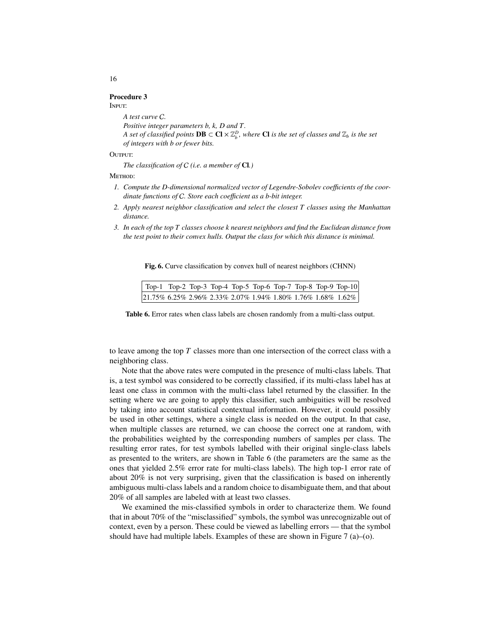#### Procedure 3

INPUT:

```
A test curve C.
Positive integer parameters b, k, D and T.
A set of classified points DB \subset Cl \times \mathbb{Z}_b^D, where Cl is the set of classes and \mathbb{Z}_b is the set
of integers with b or fewer bits.
```
OUTPUT:

*The classification of* C *(i.e. a member of* Cl*.)*

METHOD:

- *1. Compute the D-dimensional normalized vector of Legendre-Sobolev coe*ffi*cients of the coordinate functions of* C*. Store each coe*ffi*cient as a b-bit integer.*
- *2. Apply nearest neighbor classification and select the closest T classes using the Manhattan distance.*
- *3. In each of the top T classes choose k nearest neighbors and find the Euclidean distance from the test point to their convex hulls. Output the class for which this distance is minimal.*

Fig. 6. Curve classification by convex hull of nearest neighbors (CHNN)

| Top-1 Top-2 Top-3 Top-4 Top-5 Top-6 Top-7 Top-8 Top-9 Top-10    |  |  |  |  |  |
|-----------------------------------------------------------------|--|--|--|--|--|
| $21.75\%$ 6.25% 2.96% 2.33% 2.07% 1.94% 1.80% 1.76% 1.68% 1.62% |  |  |  |  |  |

Table 6. Error rates when class labels are chosen randomly from a multi-class output.

to leave among the top *T* classes more than one intersection of the correct class with a neighboring class.

Note that the above rates were computed in the presence of multi-class labels. That is, a test symbol was considered to be correctly classified, if its multi-class label has at least one class in common with the multi-class label returned by the classifier. In the setting where we are going to apply this classifier, such ambiguities will be resolved by taking into account statistical contextual information. However, it could possibly be used in other settings, where a single class is needed on the output. In that case, when multiple classes are returned, we can choose the correct one at random, with the probabilities weighted by the corresponding numbers of samples per class. The resulting error rates, for test symbols labelled with their original single-class labels as presented to the writers, are shown in Table 6 (the parameters are the same as the ones that yielded 2.5% error rate for multi-class labels). The high top-1 error rate of about 20% is not very surprising, given that the classification is based on inherently ambiguous multi-class labels and a random choice to disambiguate them, and that about 20% of all samples are labeled with at least two classes.

We examined the mis-classified symbols in order to characterize them. We found that in about 70% of the "misclassified" symbols, the symbol was unrecognizable out of context, even by a person. These could be viewed as labelling errors — that the symbol should have had multiple labels. Examples of these are shown in Figure 7 (a)–(o).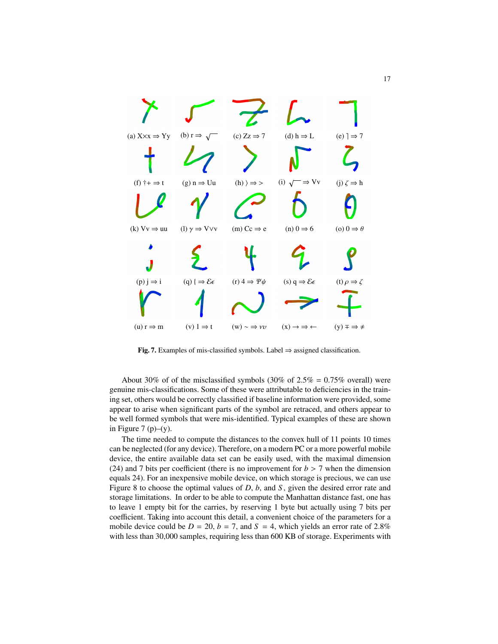

Fig. 7. Examples of mis-classified symbols. Label  $\Rightarrow$  assigned classification.

About 30% of of the misclassified symbols (30% of  $2.5% = 0.75%$  overall) were genuine mis-classifications. Some of these were attributable to deficiencies in the training set, others would be correctly classified if baseline information were provided, some appear to arise when significant parts of the symbol are retraced, and others appear to be well formed symbols that were mis-identified. Typical examples of these are shown in Figure 7 (p)–(y).

The time needed to compute the distances to the convex hull of 11 points 10 times can be neglected (for any device). Therefore, on a modern PC or a more powerful mobile device, the entire available data set can be easily used, with the maximal dimension (24) and 7 bits per coefficient (there is no improvement for  $b > 7$  when the dimension equals 24). For an inexpensive mobile device, on which storage is precious, we can use Figure 8 to choose the optimal values of *D*, *b*, and *S* , given the desired error rate and storage limitations. In order to be able to compute the Manhattan distance fast, one has to leave 1 empty bit for the carries, by reserving 1 byte but actually using 7 bits per coefficient. Taking into account this detail, a convenient choice of the parameters for a mobile device could be  $D = 20$ ,  $b = 7$ , and  $S = 4$ , which yields an error rate of 2.8% with less than 30,000 samples, requiring less than 600 KB of storage. Experiments with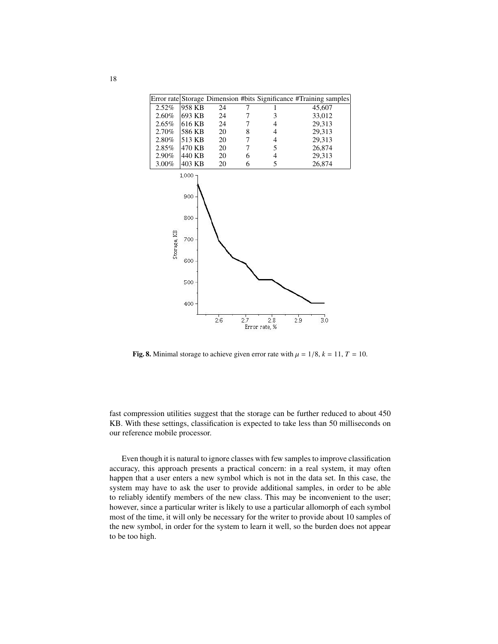|             |                                                             |    |   |                         | Error rate Storage Dimension #bits Significance #Training samples |
|-------------|-------------------------------------------------------------|----|---|-------------------------|-------------------------------------------------------------------|
| 2.52%       | 958 KB                                                      | 24 | 7 |                         | 45,607                                                            |
| 2.60%       | 693 KB                                                      | 24 | 7 | 3                       | 33,012                                                            |
| 2.65%       | 616 KB                                                      | 24 | 7 | 4                       | 29,313                                                            |
| 2.70%       | 586 KB                                                      | 20 | 8 | $\overline{4}$          | 29,313                                                            |
| 2.80%       | 513 KB                                                      | 20 | 7 | 4                       | 29,313                                                            |
| 2.85%       | 470 KB                                                      | 20 | 7 | 5                       | 26,874                                                            |
| 2.90%       | 440 KB                                                      | 20 | 6 | $\overline{\mathbf{4}}$ | 29,313                                                            |
| 3.00%       | 403 KB                                                      | 20 | 6 | 5                       | 26,874                                                            |
| Storage, KB | $1,000 -$<br>900<br>800<br>700<br>600<br>500<br>$A\cap\cap$ |    |   |                         |                                                                   |

Fig. 8. Minimal storage to achieve given error rate with  $\mu = 1/8$ ,  $k = 11$ ,  $T = 10$ .

 $2.7$ 

 $2.8$ 

Error rate, %

 $2.9$ 

 $3.0$ 

 $2.6$ 

fast compression utilities suggest that the storage can be further reduced to about 450 KB. With these settings, classification is expected to take less than 50 milliseconds on our reference mobile processor.

Even though it is natural to ignore classes with few samples to improve classification accuracy, this approach presents a practical concern: in a real system, it may often happen that a user enters a new symbol which is not in the data set. In this case, the system may have to ask the user to provide additional samples, in order to be able to reliably identify members of the new class. This may be inconvenient to the user; however, since a particular writer is likely to use a particular allomorph of each symbol most of the time, it will only be necessary for the writer to provide about 10 samples of the new symbol, in order for the system to learn it well, so the burden does not appear to be too high.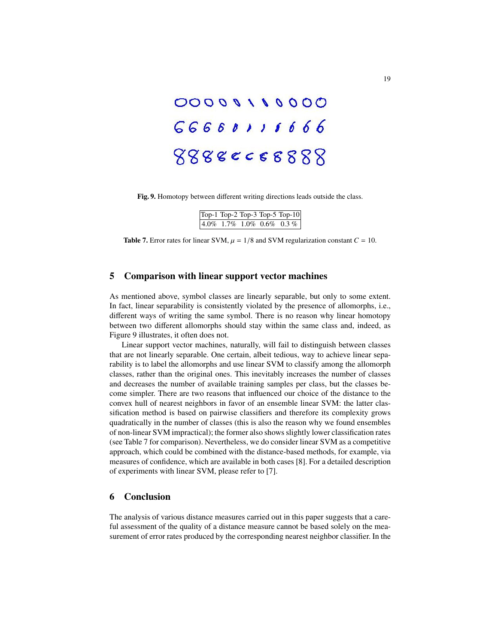# 0000110000 66660116666  $88886668888$

Fig. 9. Homotopy between different writing directions leads outside the class.

|  |  | Top-1 Top-2 Top-3 Top-5 Top-10                                      |
|--|--|---------------------------------------------------------------------|
|  |  | $\vert 4.0\% \vert 1.7\% \vert 1.0\% \vert 0.6\% \vert 0.3\% \vert$ |

**Table 7.** Error rates for linear SVM,  $\mu = 1/8$  and SVM regularization constant  $C = 10$ .

## 5 Comparison with linear support vector machines

As mentioned above, symbol classes are linearly separable, but only to some extent. In fact, linear separability is consistently violated by the presence of allomorphs, i.e., different ways of writing the same symbol. There is no reason why linear homotopy between two different allomorphs should stay within the same class and, indeed, as Figure 9 illustrates, it often does not.

Linear support vector machines, naturally, will fail to distinguish between classes that are not linearly separable. One certain, albeit tedious, way to achieve linear separability is to label the allomorphs and use linear SVM to classify among the allomorph classes, rather than the original ones. This inevitably increases the number of classes and decreases the number of available training samples per class, but the classes become simpler. There are two reasons that influenced our choice of the distance to the convex hull of nearest neighbors in favor of an ensemble linear SVM: the latter classification method is based on pairwise classifiers and therefore its complexity grows quadratically in the number of classes (this is also the reason why we found ensembles of non-linear SVM impractical); the former also shows slightly lower classification rates (see Table 7 for comparison). Nevertheless, we do consider linear SVM as a competitive approach, which could be combined with the distance-based methods, for example, via measures of confidence, which are available in both cases [8]. For a detailed description of experiments with linear SVM, please refer to [7].

# 6 Conclusion

The analysis of various distance measures carried out in this paper suggests that a careful assessment of the quality of a distance measure cannot be based solely on the measurement of error rates produced by the corresponding nearest neighbor classifier. In the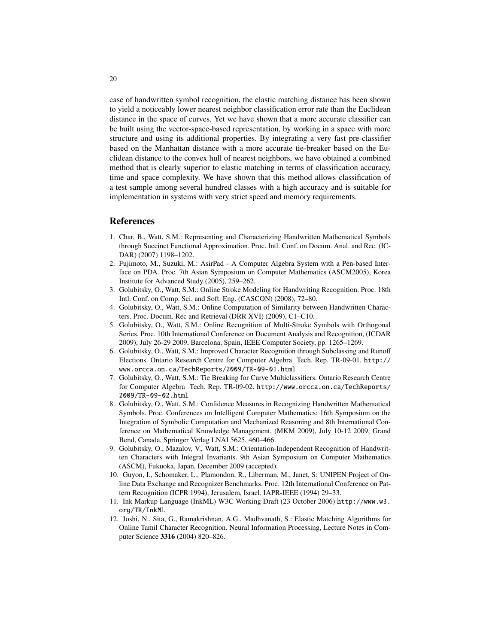case of handwritten symbol recognition, the elastic matching distance has been shown to yield a noticeably lower nearest neighbor classification error rate than the Euclidean distance in the space of curves. Yet we have shown that a more accurate classifier can be built using the vector-space-based representation, by working in a space with more structure and using its additional properties. By integrating a very fast pre-classifier based on the Manhattan distance with a more accurate tie-breaker based on the Euclidean distance to the convex hull of nearest neighbors, we have obtained a combined method that is clearly superior to elastic matching in terms of classification accuracy, time and space complexity. We have shown that this method allows classification of a test sample among several hundred classes with a high accuracy and is suitable for implementation in systems with very strict speed and memory requirements.

#### References

- 1. Char, B., Watt, S.M.: Representing and Characterizing Handwritten Mathematical Symbols through Succinct Functional Approximation. Proc. Intl. Conf. on Docum. Anal. and Rec. (IC-DAR) (2007) 1198–1202.
- 2. Fujimoto, M., Suzuki, M.: AsirPad A Computer Algebra System with a Pen-based Interface on PDA. Proc. 7th Asian Symposium on Computer Mathematics (ASCM2005), Korea Institute for Advanced Study (2005), 259–262.
- 3. Golubitsky, O., Watt, S.M.: Online Stroke Modeling for Handwriting Recognition. Proc. 18th Intl. Conf. on Comp. Sci. and Soft. Eng. (CASCON) (2008), 72–80.
- 4. Golubitsky, O., Watt, S.M.: Online Computation of Similarity between Handwritten Characters. Proc. Docum. Rec and Retrieval (DRR XVI) (2009), C1–C10.
- 5. Golubitsky, O., Watt, S.M.: Online Recognition of Multi-Stroke Symbols with Orthogonal Series. Proc. 10th International Conference on Document Analysis and Recognition, (ICDAR 2009), July 26-29 2009, Barcelona, Spain, IEEE Computer Society, pp. 1265–1269.
- 6. Golubitsky, O., Watt, S.M.: Improved Character Recognition through Subclassing and Runoff Elections. Ontario Research Centre for Computer Algebra Tech. Rep. TR-09-01. http:// www.orcca.on.ca/TechReports/2009/TR-09-01.html
- 7. Golubitsky, O., Watt, S.M.: Tie Breaking for Curve Multiclassifiers. Ontario Research Centre for Computer Algebra Tech. Rep. TR-09-02. http://www.orcca.on.ca/TechReports/ 2009/TR-09-02.html
- 8. Golubitsky, O., Watt, S.M.: Confidence Measures in Recognizing Handwritten Mathematical Symbols. Proc. Conferences on Intelligent Computer Mathematics: 16th Symposium on the Integration of Symbolic Computation and Mechanized Reasoning and 8th International Conference on Mathematical Knowledge Management, (MKM 2009), July 10-12 2009, Grand Bend, Canada, Springer Verlag LNAI 5625, 460–466.
- 9. Golubitsky, O., Mazalov, V., Watt, S.M.: Orientation-Independent Recognition of Handwritten Characters with Integral Invariants. 9th Asian Symposium on Computer Mathematics (ASCM), Fukuoka, Japan, December 2009 (accepted).
- 10. Guyon, I., Schomaker, L., Plamondon, R., Liberman, M., Janet, S: UNIPEN Project of Online Data Exchange and Recognizer Benchmarks. Proc. 12th International Conference on Pattern Recognition (ICPR 1994), Jerusalem, Israel. IAPR-IEEE (1994) 29–33.
- 11. Ink Markup Language (InkML) W3C Working Draft (23 October 2006) http://www.w3. org/TR/InkML
- 12. Joshi, N., Sita, G., Ramakrishnan, A.G., Madhvanath, S.: Elastic Matching Algorithms for Online Tamil Character Recognition. Neural Information Processing, Lecture Notes in Computer Science 3316 (2004) 820–826.